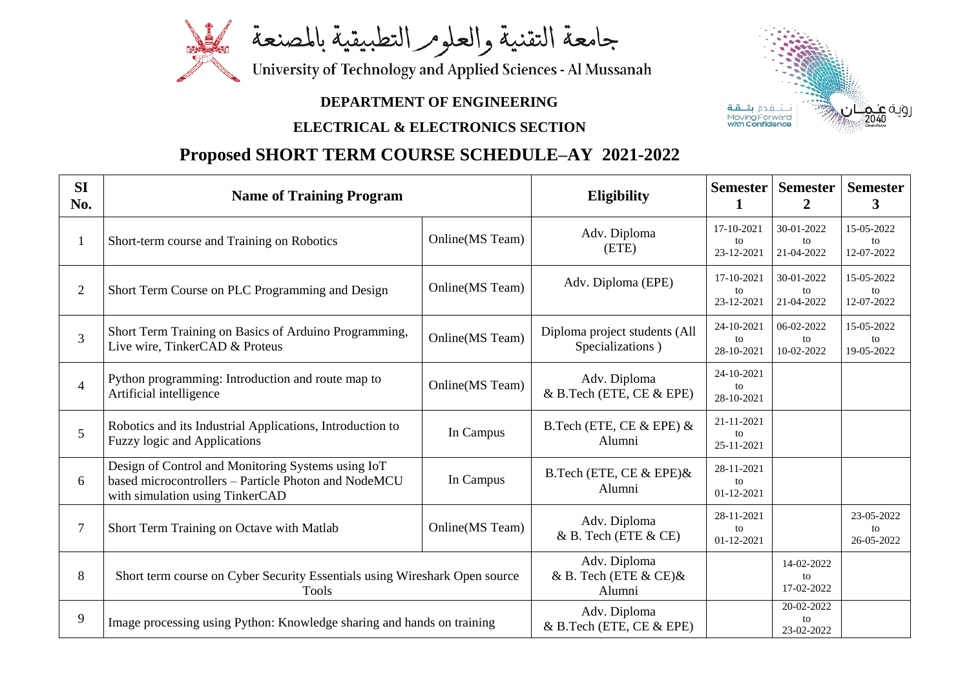

## **DEPARTMENT OF ENGINEERING**

## **ELECTRICAL & ELECTRONICS SECTION**

## **Proposed SHORT TERM COURSE SCHEDULE–AY 2021-2022**

| <b>SI</b><br>No. | <b>Name of Training Program</b>                                                                                                               |                         | <b>Eligibility</b>                                     | <b>Semester</b>                | <b>Semester</b><br>$\overline{2}$ | <b>Semester</b><br>3           |
|------------------|-----------------------------------------------------------------------------------------------------------------------------------------------|-------------------------|--------------------------------------------------------|--------------------------------|-----------------------------------|--------------------------------|
| $\bf{l}$         | Short-term course and Training on Robotics                                                                                                    | <b>Online</b> (MS Team) | Adv. Diploma<br>(ETE)                                  | 17-10-2021<br>to<br>23-12-2021 | 30-01-2022<br>to<br>21-04-2022    | 15-05-2022<br>to<br>12-07-2022 |
| $\overline{2}$   | Short Term Course on PLC Programming and Design                                                                                               | <b>Online</b> (MS Team) | Adv. Diploma (EPE)                                     | 17-10-2021<br>to<br>23-12-2021 | 30-01-2022<br>to<br>21-04-2022    | 15-05-2022<br>to<br>12-07-2022 |
| 3                | Short Term Training on Basics of Arduino Programming,<br>Live wire, TinkerCAD & Proteus                                                       | <b>Online</b> (MS Team) | Diploma project students (All<br>Specializations)      | 24-10-2021<br>to<br>28-10-2021 | 06-02-2022<br>to<br>10-02-2022    | 15-05-2022<br>to<br>19-05-2022 |
| $\overline{4}$   | Python programming: Introduction and route map to<br>Artificial intelligence                                                                  | Online(MS Team)         | Adv. Diploma<br>$&$ B.Tech (ETE, CE $&$ EPE)           | 24-10-2021<br>to<br>28-10-2021 |                                   |                                |
| 5                | Robotics and its Industrial Applications, Introduction to<br><b>Fuzzy logic and Applications</b>                                              | In Campus               | B.Tech (ETE, CE $&$ EPE) $&$<br>Alumni                 | 21-11-2021<br>to<br>25-11-2021 |                                   |                                |
| 6                | Design of Control and Monitoring Systems using IoT<br>based microcontrollers - Particle Photon and NodeMCU<br>with simulation using TinkerCAD | In Campus               | B.Tech (ETE, CE $&$ EPE) $&$<br>Alumni                 | 28-11-2021<br>to<br>01-12-2021 |                                   |                                |
| $\overline{7}$   | Short Term Training on Octave with Matlab                                                                                                     | <b>Online</b> (MS Team) | Adv. Diploma<br>$\&$ B. Tech (ETE $\&$ CE)             | 28-11-2021<br>to<br>01-12-2021 |                                   | 23-05-2022<br>to<br>26-05-2022 |
| 8                | Short term course on Cyber Security Essentials using Wireshark Open source<br>Tools                                                           |                         | Adv. Diploma<br>& B. Tech (ETE $\&$ CE) $\&$<br>Alumni |                                | 14-02-2022<br>to<br>17-02-2022    |                                |
| 9                | Image processing using Python: Knowledge sharing and hands on training                                                                        |                         | Adv. Diploma<br>& B.Tech (ETE, CE & EPE)               |                                | 20-02-2022<br>to<br>23-02-2022    |                                |